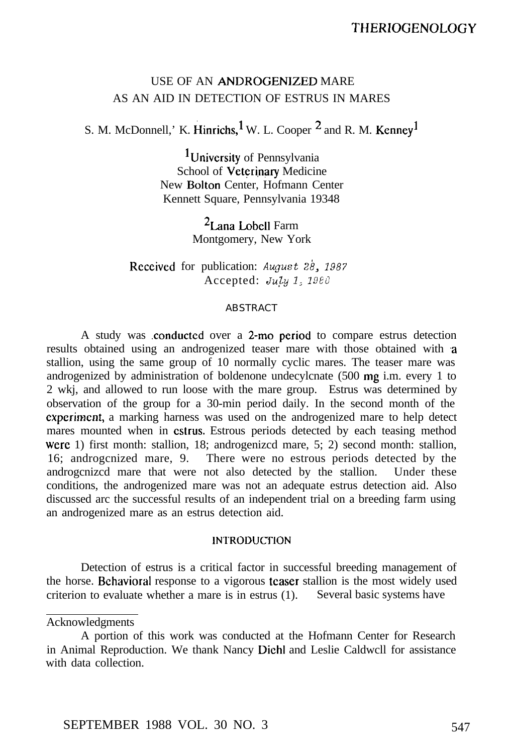# USE OF AN ANDROGENIZED MARE AS AN AID IN DETECTION OF ESTRUS IN MARES

S. M. McDonnell,' K. Hinrichs, <sup>1</sup> W. L. Cooper  $^2$  and R. M. Kenney<sup>1</sup>

<sup>1</sup>University of Pennsylvania School of Veterinary Medicine New Bolton Center, Hofmann Center Kennett Square, Pennsylvania 19348

> $2$ Lana Lobell Farm Montgomery, New York

Received for publication: August  $2\dot{8}$ , 1987 Accepted: *July 1; IyOEd*

## ABSTRACT

A study was conducted over a 2-mo period to compare estrus detection results obtained using an androgenized teaser mare with those obtained with a stallion, using the same group of 10 normally cyclic mares. The teaser mare was androgenized by administration of boldenone undecylcnate (500 mg i.m. every 1 to 2 wkj, and allowed to run loose with the mare group. Estrus was determined by observation of the group for a 30-min period daily. In the second month of the cxperimcnt, a marking harness was used on the androgenized mare to help detect mares mounted when in cstrus. Estrous periods detected by each teasing method were 1) first month: stallion, 18; androgenizcd mare, 5; 2) second month: stallion, 16; androgcnized mare, 9. There were no estrous periods detected by the androgcnizcd mare that were not also detected by the stallion. Under these conditions, the androgenized mare was not an adequate estrus detection aid. Also discussed arc the successful results of an independent trial on a breeding farm using an androgenized mare as an estrus detection aid.

## **INTRODUCTION**

Detection of estrus is a critical factor in successful breeding management of the horse. Behavioral response to a vigorous teaser stallion is the most widely used criterion to evaluate whether a mare is in estrus (1). Several basic systems have

#### Acknowledgments

A portion of this work was conducted at the Hofmann Center for Research in Animal Reproduction. We thank Nancy Dichl and Leslie Caldwcll for assistance with data collection.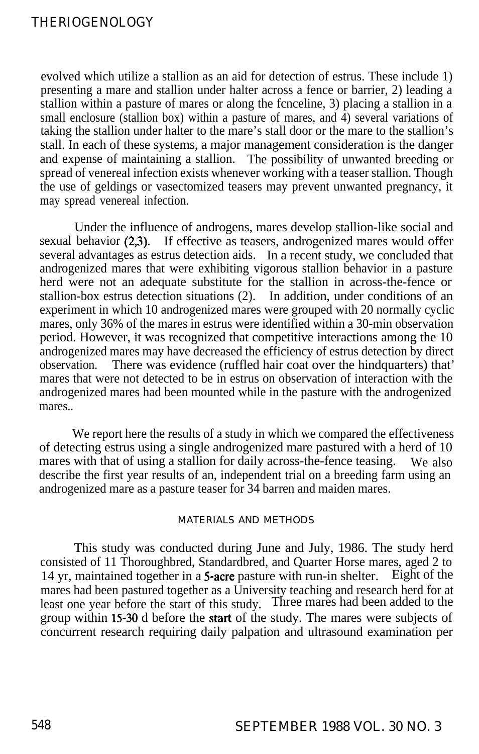## THERIOGENOLOGY

evolved which utilize a stallion as an aid for detection of estrus. These include 1) presenting a mare and stallion under halter across a fence or barrier, 2) leading a stallion within a pasture of mares or along the fcnceline, 3) placing a stallion in a small enclosure (stallion box) within a pasture of mares, and  $\hat{4}$ ) several variations of taking the stallion under halter to the mare's stall door or the mare to the stallion's stall. In each of these systems, a major management consideration is the danger and expense of maintaining a stallion. The possibility of unwanted breeding or spread of venereal infection exists whenever working with a teaser stallion. Though the use of geldings or vasectomized teasers may prevent unwanted pregnancy, it may spread venereal infection.

Under the influence of androgens, mares develop stallion-like social and sexual behavior (2,3). If effective as teasers, androgenized mares would offer several advantages as estrus detection aids. In a recent study, we concluded that androgenized mares that were exhibiting vigorous stallion behavior in a pasture herd were not an adequate substitute for the stallion in across-the-fence or stallion-box estrus detection situations (2). In addition, under conditions of an experiment in which 10 androgenized mares were grouped with 20 normally cyclic mares, only 36% of the mares in estrus were identified within a 30-min observation period. However, it was recognized that competitive interactions among the 10 androgenized mares may have decreased the efficiency of estrus detection by direct There was evidence (ruffled hair coat over the hindquarters) that' mares that were not detected to be in estrus on observation of interaction with the androgenized mares had been mounted while in the pasture with the androgenized mares..

We report here the results of a study in which we compared the effectiveness of detecting estrus using a single androgenized mare pastured with a herd of 10 mares with that of using a stallion for daily across-the-fence teasing. We also describe the first year results of an, independent trial on a breeding farm using an androgenized mare as a pasture teaser for 34 barren and maiden mares.

## MATERIALS AND METHODS

This study was conducted during June and July, 1986. The study herd consisted of 11 Thoroughbred, Standardbred, and Quarter Horse mares, aged 2 to 14 yr. maintained together in a 5-acre pasture with run-in shelter. Eight of the 14 yr, maintained together in a 5-acre pasture with run-in shelter. mares had been pastured together as a University teaching and research herd for at least one year before the start of this study. Three mares had been added to the group within 15-30 d before the srart of the study. The mares were subjects of concurrent research requiring daily palpation and ultrasound examination per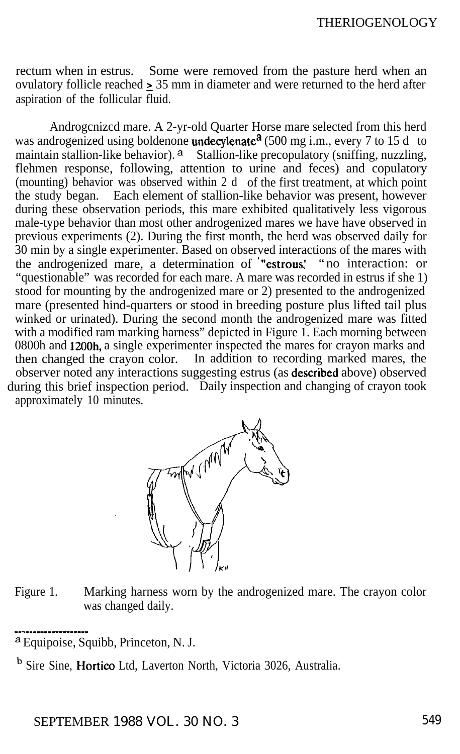rectum when in estrus. Some were removed from the pasture herd when an ovulatory follicle reached 2 35 mm in diameter and were returned to the herd after aspiration of the follicular fluid.

Androgcnizcd mare. A 2-yr-old Quarter Horse mare selected from this herd was androgenized using boldenone undecylenate<sup>a</sup> (500 mg i.m., every 7 to 15 d to maintain stallion-like behavior). <sup>a</sup> Stallion-like precopulatory (sniffing, nuzzling, flehmen response, following, attention to urine and feces) and copulatory (mounting) behavior was observed within 2 d of the first treatment, at which point the study began. Each element of stallion-like behavior was present, however during these observation periods, this mare exhibited qualitatively less vigorous male-type behavior than most other androgenized mares we have have observed in previous experiments (2). During the first month, the herd was observed daily for 30 min by a single experimenter. Based on observed interactions of the mares with the androgenized mare, a determination of '"estrous: "no interaction: or "questionable" was recorded for each mare. A mare was recorded in estrus if she 1) stood for mounting by the androgenized mare or 2) presented to the androgenized mare (presented hind-quarters or stood in breeding posture plus lifted tail plus winked or urinated). During the second month the androgenized mare was fitted with a modified ram marking harness" depicted in Figure 1. Each morning between 0800h and 1200h, a single experimenter inspected the mares for crayon marks and then changed the crayon color. In addition to recording marked mares, the observer noted any interactions suggesting estrus (as described above) observed during this brief inspection period. Daily inspection and changing of crayon took approximately 10 minutes.



Figure 1. Marking harness worn by the androgenized mare. The crayon color was changed daily.

a Equipoise, Squibb, Princeton, N. J.

b Sire Sine, Hortico Ltd, Laverton North, Victoria 3026, Australia.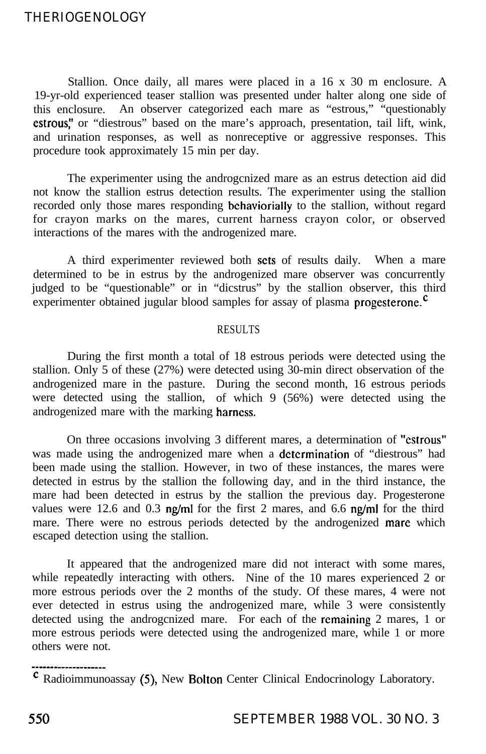## THERIOGENOLOGY

Stallion. Once daily, all mares were placed in a 16 x 30 m enclosure. A 19-yr-old experienced teaser stallion was presented under halter along one side of this enclosure. An observer categorized each mare as "estrous," "questionably estrous," or "diestrous" based on the mare's approach, presentation, tail lift, wink, and urination responses, as well as nonreceptive or aggressive responses. This procedure took approximately 15 min per day.

The experimenter using the androgcnized mare as an estrus detection aid did not know the stallion estrus detection results. The experimenter using the stallion recorded only those mares responding behaviorially to the stallion, without regard for crayon marks on the mares, current harness crayon color, or observed interactions of the mares with the androgenized mare.

A third experimenter reviewed both sets of results daily. When a mare determined to be in estrus by the androgenized mare observer was concurrently judged to be "questionable" or in "dicstrus" by the stallion observer, this third experimenter obtained jugular blood samples for assay of plasma **progesterone**.<sup> $c$ </sup>

## RESULTS

During the first month a total of 18 estrous periods were detected using the stallion. Only 5 of these (27%) were detected using 30-min direct observation of the androgenized mare in the pasture. During the second month, 16 estrous periods were detected using the stallion, of which 9 (56%) were detected using the androgenized mare with the marking harness.

On three occasions involving 3 different mares, a determination of "cstrous" was made using the androgenized mare when a dctcrmination of "diestrous" had been made using the stallion. However, in two of these instances, the mares were detected in estrus by the stallion the following day, and in the third instance, the mare had been detected in estrus by the stallion the previous day. Progesterone values were 12.6 and 0.3  $\frac{mg}{ml}$  for the first 2 mares, and 6.6  $\frac{mg}{ml}$  for the third mare. There were no estrous periods detected by the androgenized mare which escaped detection using the stallion.

It appeared that the androgenized mare did not interact with some mares, while repeatedly interacting with others. Nine of the 10 mares experienced 2 or more estrous periods over the 2 months of the study. Of these mares, 4 were not ever detected in estrus using the androgenized mare, while 3 were consistently detected using the androgcnized mare. For each of the remaining 2 mares, 1 or more estrous periods were detected using the androgenized mare, while 1 or more others were not.

' Radioimmunoassay (5), New Bolton Center Clinical Endocrinology Laboratory.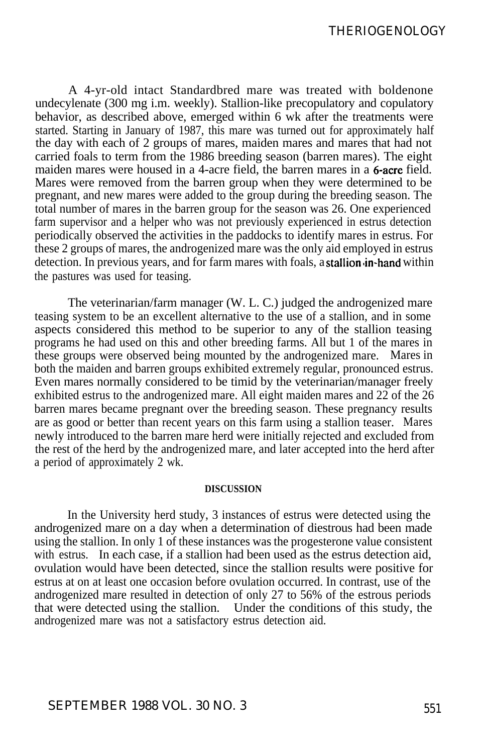A 4-yr-old intact Standardbred mare was treated with boldenone undecylenate (300 mg i.m. weekly). Stallion-like precopulatory and copulatory behavior, as described above, emerged within 6 wk after the treatments were started. Starting in January of 1987, this mare was turned out for approximately half the day with each of 2 groups of mares, maiden mares and mares that had not carried foals to term from the 1986 breeding season (barren mares). The eight maiden mares were housed in a 4-acre field, the barren mares in a **6-acre** field. Mares were removed from the barren group when they were determined to be pregnant, and new mares were added to the group during the breeding season. The total number of mares in the barren group for the season was 26. One experienced farm supervisor and a helper who was not previously experienced in estrus detection periodically observed the activities in the paddocks to identify mares in estrus. For these 2 groups of mares, the androgenized mare was the only aid employed in estrus detection. In previous years, and for farm mares with foals, a stallion in-hand within the pastures was used for teasing.

The veterinarian/farm manager (W. L. C.) judged the androgenized mare teasing system to be an excellent alternative to the use of a stallion, and in some aspects considered this method to be superior to any of the stallion teasing programs he had used on this and other breeding farms. All but 1 of the mares in these groups were observed being mounted by the androgenized mare. Mares in both the maiden and barren groups exhibited extremely regular, pronounced estrus. Even mares normally considered to be timid by the veterinarian/manager freely exhibited estrus to the androgenized mare. All eight maiden mares and  $22$  of the  $26$ barren mares became pregnant over the breeding season. These pregnancy results are as good or better than recent years on this farm using a stallion teaser. Mares newly introduced to the barren mare herd were initially rejected and excluded from the rest of the herd by the androgenized mare, and later accepted into the herd after a period of approximately 2 wk.

### **DISCUSSION**

In the University herd study, 3 instances of estrus were detected using the androgenized mare on a day when a determination of diestrous had been made using the stallion. In only 1 of these instances was the progesterone value consistent with estrus. In each case, if a stallion had been used as the estrus detection aid, ovulation would have been detected, since the stallion results were positive for estrus at on at least one occasion before ovulation occurred. In contrast, use of the androgenized mare resulted in detection of only 27 to 56% of the estrous periods that were detected using the stallion. Under the conditions of this study, the androgenized mare was not a satisfactory estrus detection aid.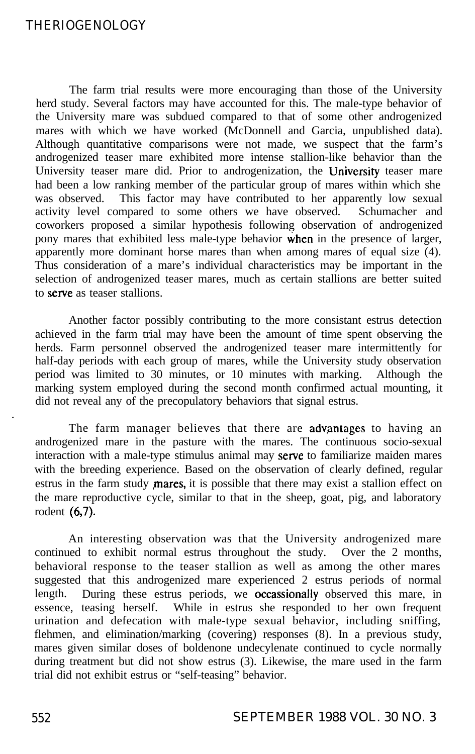## THERIOGENOLOGY

The farm trial results were more encouraging than those of the University herd study. Several factors may have accounted for this. The male-type behavior of the University mare was subdued compared to that of some other androgenized mares with which we have worked (McDonnell and Garcia, unpublished data). Although quantitative comparisons were not made, we suspect that the farm's androgenized teaser mare exhibited more intense stallion-like behavior than the University teaser mare did. Prior to androgenization, the IJniversity teaser mare had been a low ranking member of the particular group of mares within which she was observed. This factor may have contributed to her apparently low sexual activity level compared to some others we have observed. Schumacher and coworkers proposed a similar hypothesis following observation of androgenized pony mares that exhibited less male-type behavior when in the presence of larger, apparently more dominant horse mares than when among mares of equal size (4). Thus consideration of a mare's individual characteristics may be important in the selection of androgenized teaser mares, much as certain stallions are better suited to serve as teaser stallions.

Another factor possibly contributing to the more consistant estrus detection achieved in the farm trial may have been the amount of time spent observing the herds. Farm personnel observed the androgenized teaser mare intermittently for half-day periods with each group of mares, while the University study observation period was limited to 30 minutes, or 10 minutes with marking. Although the marking system employed during the second month confirmed actual mounting, it did not reveal any of the precopulatory behaviors that signal estrus.

The farm manager believes that there are **advantages** to having an androgenized mare in the pasture with the mares. The continuous socio-sexual interaction with a male-type stimulus animal may serve to familiarize maiden mares with the breeding experience. Based on the observation of clearly defined, regular estrus in the farm study *mares*, it is possible that there may exist a stallion effect on the mare reproductive cycle, similar to that in the sheep, goat, pig, and laboratory rodent (6,7).

An interesting observation was that the University androgenized mare continued to exhibit normal estrus throughout the study. Over the 2 months, behavioral response to the teaser stallion as well as among the other mares suggested that this androgenized mare experienced 2 estrus periods of normal length. During these estrus periods, we occassionally observed this mare, in essence, teasing herself. While in estrus she responded to her own frequent urination and defecation with male-type sexual behavior, including sniffing, flehmen, and elimination/marking (covering) responses (8). In a previous study, mares given similar doses of boldenone undecylenate continued to cycle normally during treatment but did not show estrus (3). Likewise, the mare used in the farm trial did not exhibit estrus or "self-teasing" behavior.